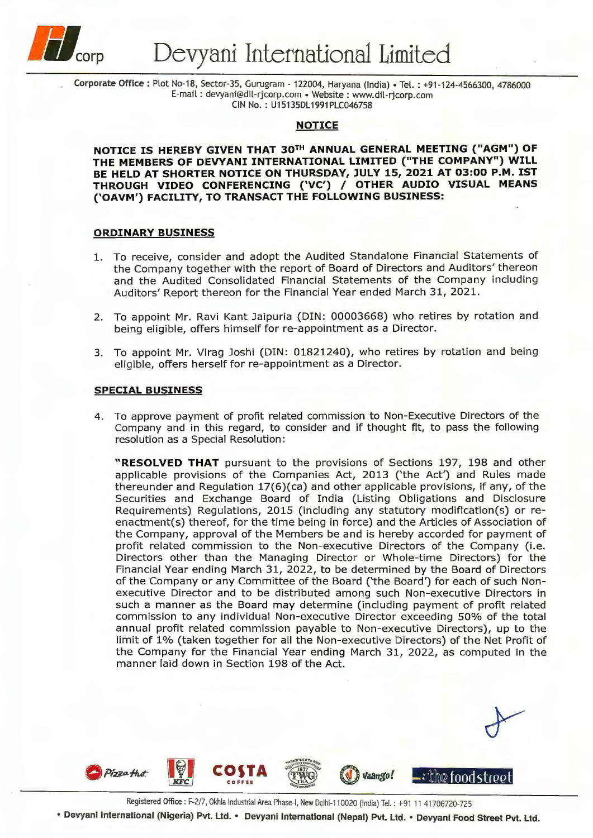

Corporate Office: Plot No-18, Sector-35, Gurugram -122004, Haryana (India)• Tel.: +91-124-4566300, 4786000 E-mail : devyani@dil-rjcorp.com • Website : www.dil-rjcorp.com CIN No.: U15135DL1991PLC046758

#### **NOTICE**

**NOTICE IS HEREBY GIVEN THAT 3QTH ANNUAL GENERAL MEETING ("AGM") OF THE MEMBERS OF DEVYANI INTERNATIONAL LIMITED {"THE COMPANY") WILL**  BE HELD AT SHORTER NOTICE ON THURSDAY, JULY 15, 2021 AT 03:00 P.M. IST **THROUGH VIDEO CONFERENCING ('VC')** / **OTHER AUDIO VISUAL MEANS {'OAVM') FACILITY, TO TRANSACT THE FOLLOWING BUSINESS:** 

## **ORDINARY BUSINESS**

- 1. To receive, consider and adopt the Audited Standalone Financial Statements of the Company together with the report of Board of Directors and Auditors' thereon and the Audited Consolidated Financial Statements of the Company including Auditors' Report thereon for the Financial Year ended March 31, 2021.
- 2. To appoint Mr. Ravi Kant Jaipuria (DIN: 00003668) who retires by rotation and being eligible, offers himself for re-appointment as a Director.
- 3. To appoint Mr. Virag Joshi (DIN: 01821240), who retires by rotation and being eligible, offers herself for re-appointment as a Director.

#### **SPECIAL BUSINESS**

4. To approve payment of profit related commission to Non-Executive Directors of the Company and in this regard, to consider and if thought fit, to pass the following resolution as a Special Resolution:

"RESOLVED THAT pursuant to the provisions of Sections 197, 198 and other applicable provisions of the Companies Act, 2013 ('the Act') and Rules made thereunder and Regulation 17(6)(ca) and other applicable provisions, if any, of the Securities and Exchange Board of India (Listing Obligations and Disclosure Requirements) Regulations, 2015 (including any statutory modification(s) or reenactment(s) thereof, for the time being in force) and the Articles of Association of the Company, approval of the Members be and is hereby accorded for payment of profit related commission to the Non-executive Directors of the Company (i.e. Directors other than the Managing Director or Whole-time Directors) for the Financial Year ending March 31, 2022, to be determined by the Board of Directors of the Company or any Committee of the Board ('the Board') for each of such Nonexecutive Director and to be distributed among such Non-executive Directors in such a manner as the Board may determine (including payment of profit related commission to any individual Non-executive Director exceeding 50% of the total annual profit related commission payable to Non-executive Directors), up to the limit of 1% (taken together for all the Non-executive Directors) of the Net Profit of the Company for the Financial Year ending March 31, 2022, as computed in the manner laid down in Section 198 of the Act.



Registered Office : F-2/7, Okhla Industrial Area Phase-I, New Delhi-110020 (India) Tel. : +91 11 41706720-725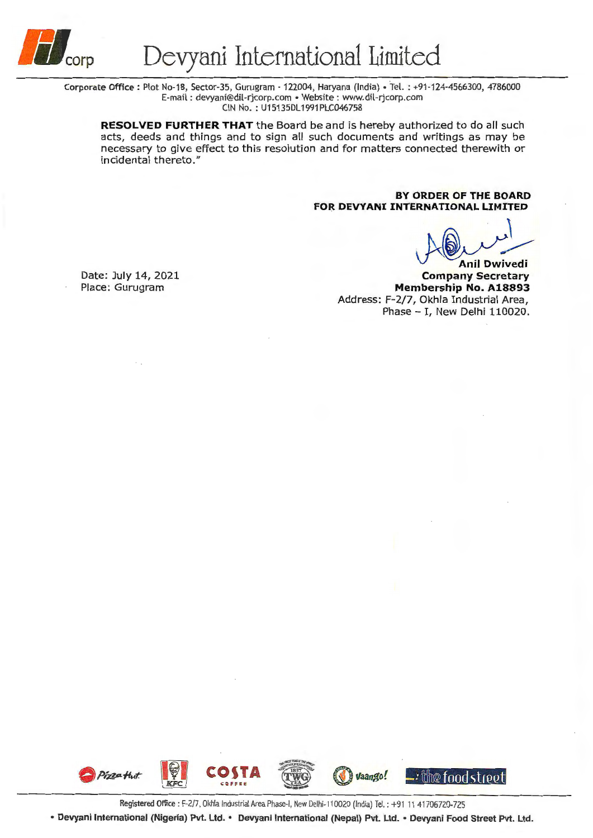

Corporate Office: Plot No-18, Sector-35, Gurugram - 122004, Haryana (India)• Tel. : +91-124-4566300, 4786000 E-mail : devyani@dil-rjcorp.com • Website : www.dil-rjcorp.com CIN No. : U15135DL 1991 PLC046758

**RESOLVED FURTHER THAT** the Board be and is hereby authorized to do all such acts, deeds and things and to sign all such documents and writings as may be necessary to give effect to this resolution and for matters connected therewith or incidental thereto."

> **BY ORDER OF THE BOARD FOR DEVYANI INTERNATIONAL LIMITED**

 $\int$ wivedi<br>eretary

**Company Secretary Membership No. A18893**  Address: F-2/7, Okhla Industrial Area, Phase - I, New Delhi 110020.

Date: July 14, 2021 Place: Gurugram



Registered Office : F-2/7, Okhla Industrial Area Phase-I, New Delhi-110020 (India) Tel. : +91 11 41706720-725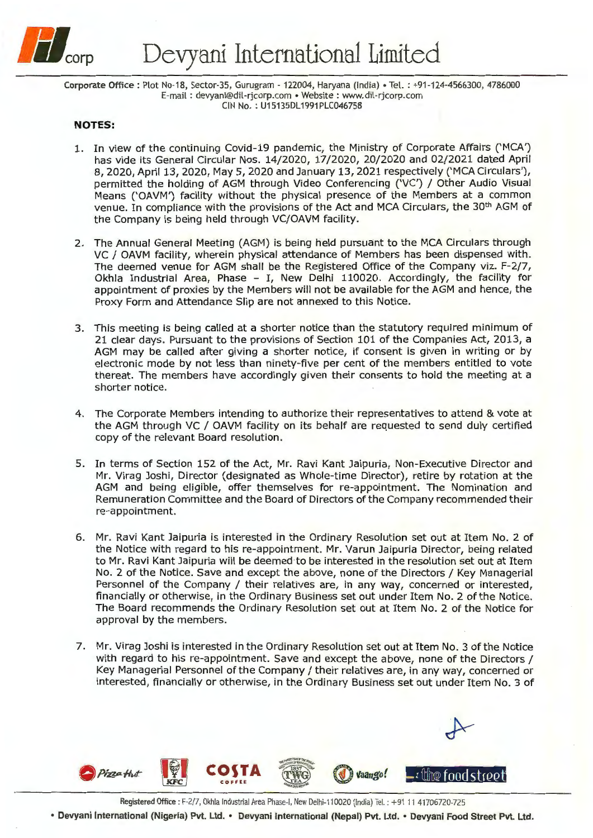

Corporate Office: Plot No-18, Sector-35, Gurugram - 122004, Haryana (India)• Tel. : +91-124-4566300, 4786000 E-mail : devyani@dil-rjcorp.com • Website : www.dil-rjcorp.com CIN No.: U15135DL1991PLC046758

## **NOTES:**

- 1. In view of the continuing Covid-19 pandemic, the Ministry of Corporate Affairs ('MCA') has vide its General Circular Nos. 14/2020, 17/2020, 20/2020 and 02/2021 dated April 8, 2020, April 13, 2020, May 5, 2020 and January 13, 2021 respectively ('MCA Circulars'), permitted the holding of AGM through Video Conferencing ('VC') / Other Audio Visual Means ('OAVM') facility without the physical presence of the Members at a common venue. In compliance with the provisions of the Act and MCA Circulars, the 30<sup>th</sup> AGM of the Company is being held through VC/OAVM facility.
- 2. The Annual General Meeting (AGM) is being held pursuant to the MCA Circulars through VC / OAVM facility, wherein physical attendance of Members has been dispensed with. The deemed venue for AGM shall be the Registered Office of the Company viz. F-2/7, Okhla Industrial Area, Phase - I, New Delhi 110020. Accordingly, the facility for appointment of proxies by the Members will not be available for the AGM and hence, the Proxy Form and Attendance Slip are not annexed to this Notice.
- 3. This meeting is being called at a shorter notice than the statutory required minimum of 21 clear days. Pursuant to the provisions of Section 101 of the Companies Act, 2013, a AGM may be called after giving a shorter notice, if consent is given in writing or by electronic mode by not less than ninety-five per cent of the members entitled to vote thereat. The members have accordingly given their consents to hold the meeting at a shorter notice.
- 4. The Corporate Members intending to authorize their representatives to attend & vote at the AGM through VC / OAVM facility on its behalf are requested to send duly certified copy of the relevant Board resolution.
- 5. In terms of Section 152 of the Act, Mr. Ravi Kant Jaipuria, Non-Executive Director and Mr. Virag Joshi, Director (designated as Whole-time Director), retire by rotation at the AGM and being eligible, offer themselves for re-appointment. The Nomination and Remuneration Committee and the Board of Directors of the Company recommended their re-appointment.
- 6. Mr. Ravi Kant Jaipuria is interested in the Ordinary Resolution set out at Item No. 2 of the Notice with regard to his re-appointment. Mr. Varun Jaipuria Director, being related to Mr. Ravi Kant Jaipuria will be deemed to be interested in the resolution set out at Item No. 2 of the Notice. Save and except the above, none of the Directors / Key Managerial Personnel of the Company / their relatives are, in any way, concerned or interested, financially or otherwise, in the Ordinary Business set out under Item No. 2 of the Notice. The Board recommends the Ordinary Resolution set out at Item No. 2 of the Notice for approval by the members.
- 7. Mr. Virag Joshi is interested in the Ordinary Resolution set out at Item No. 3 of the Notice with regard to his re-appointment. Save and except the above, none of the Directors / Key Managerial Personnel of the Company/ their relatives are, in any way, concerned or interested, financially or otherwise, in the Ordinary Business set out under Item No. 3 of



Registered Office: F-2/7, Okhla Industrial Area Phase-I, New Delhi-110020 (India) Tel. : +91 11 41706720-725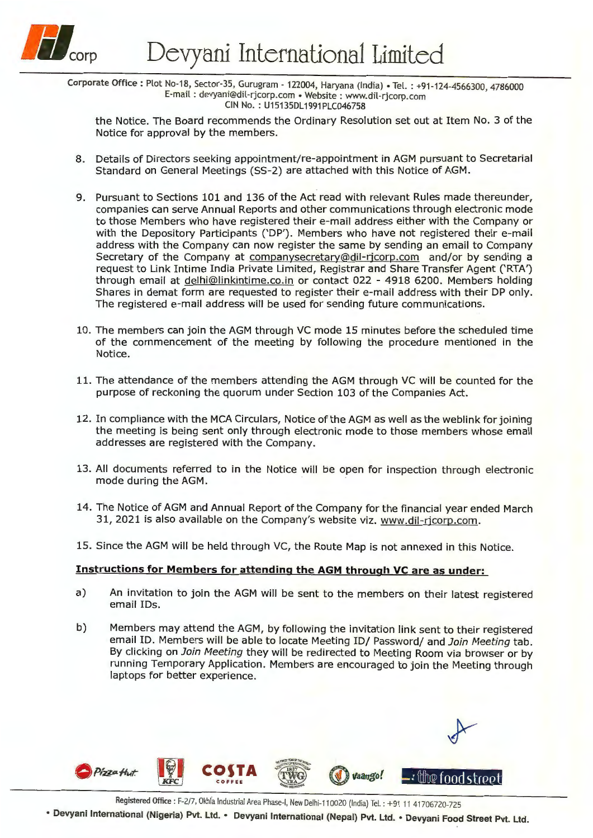

Corporate Office: Plot No-18, Sector-35, Gurugram - 122004, Haryana (India) • Tel.: +91-124-4566300, 4786000 E-mail : devyani@dil-rjcorp.com • Website : www.dil-rjcorp. com CIN No. : U15135DL 1991 PLC046758

the Notice. The Board recommends the Ordinary Resolution set out at Item No. 3 of the Notice for approval by the members.

- 8. Details of Directors seeking appointment/re-appointment in AGM pursuant to Secretarial Standard on General Meetings (55-2) are attached with this Notice of AGM.
- 9. Pursuant to Sections 101 and 136 of the Act read with relevant Rules made thereunder, companies can serve Annual Reports and other communications through electronic mode to those Members who have registered their e-mail address either with the Company or with the Depository Participants ('DP'). Members who have not registered their e-mail address with the Company can now register the same by sending an email to Company Secretary of the Company at companysecretary@dil-ricorp.com and/or by sending a request to Link Intime India Private Limited, Registrar and Share Transfer Agent ('RTA') through email at delhi@linkintime.co.in or contact 022 - 4918 6200. Members holding Shares in demat form are requested to register their e-mail address with their DP only. The registered e-mail address will be used for sending future communications.
- 10. The members can join the AGM through VC mode 15 minutes before the scheduled time of the commencement of the meeting by following the procedure mentioned in the Notice.
- 11. The attendance of the members attending the AGM through VC will be counted for the purpose of reckoning the quorum under Section 103 of the Companies Act.
- 12. In compliance with the MCA Circulars, Notice of the AGM as well as the weblink for joining the meeting is being sent only through electronic mode to those members whose email addresses are registered with the Company.
- 13. All documents referred to in the Notice will be open for inspection through electronic mode during the AGM.
- 14. The Notice of AGM and Annual Report of the Company for the financial year ended March 31, 2021 is also available on the Company's website viz. www.dil-ricorp.com.
- 15. Since the AGM will be held through VC, the Route Map is not annexed in this Notice.

# **Instructions for Members for attending the AGM through VC are as under:**

- a) An invitation to join the AGM will be sent to the members on their latest registered email IDs.
- b) Members may attend the AGM, by following the invitation link sent to their registered email ID. Members will be able to locate Meeting ID/ Password/ and Join Meeting tab. By clicking on Join Meeting they will be redirected to Meeting Room via browser or by running Temporary Application. Members are encouraged to join the Meeting through laptops for better experience.



Registered Office: F-2/7, Okhla Industrial Area Phase-I, New Delhi-110020 (India) Tel.: +91 11 41706720-725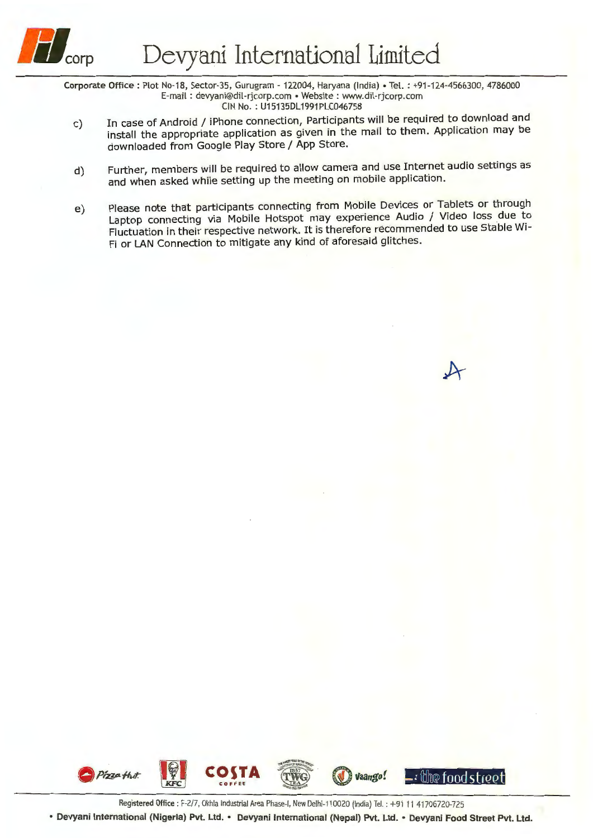

Corporate Office: Plot No-18, Sector-35, Gurugram - 122004, Haryana (India) • Tel.: +91-124-4566300, 4786000 E-mail: devyani@dil-ricorp.com • Website: www.dil-ricorp.com CIN No. : U15135DL 1991 PLC046758

- c) In case of Android / iPhone connection, Participants will be required to download and install the appropriate application as given in the mail to them. Application may be downloaded from Google Play Store / App Store.
- d) Further, members will be required to allow camera and use Internet audio settings as and when asked while setting up the meeting on mobile application.
- e) Please note that participants connecting from Mobile Devices or Tablets or through Laptop connecting via Mobile Hotspot may experience Audio / Video loss due to Fluctuation in their respective network. It is therefore recommended to use Stable Wi-Fi or LAN Connection to mitigate any kind of aforesaid glitches.

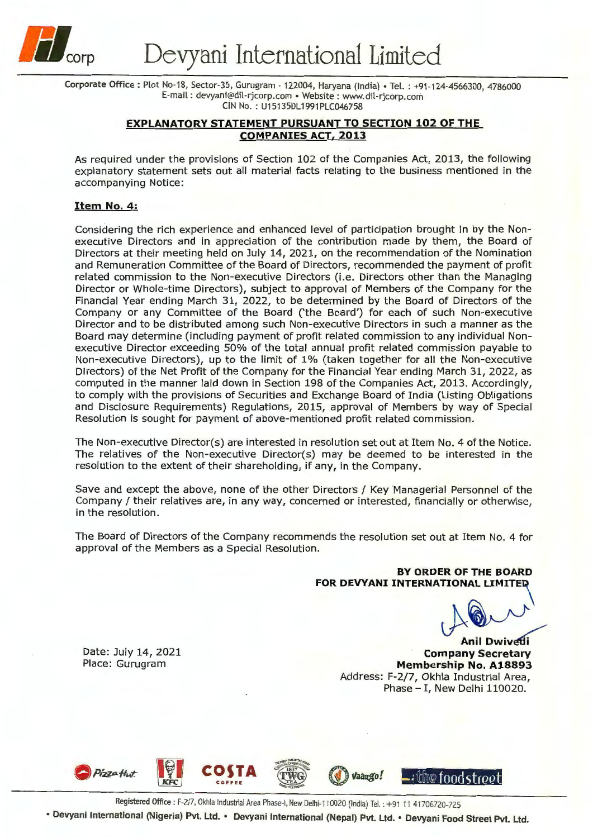

Corporate Office: Plot No-18, Sector-35, Gurugram - 122004, Haryana (India)• Tel. : +91-124-4566300, 4786000 E-mail : devyani@dil-rjcorp.com • Website : www.dil-rjcorp.com CIN No.: U15135DL1991PLC046758

# **EXPLANATORY STATEMENT PURSUANT TO SECTION 102 OF THE COMPANIES ACT, 2013**

As required under the provisions of Section 102 of the Companies Act, 2013, the following explanatory statement sets out all material facts relating to the business mentioned in the accompanying Notice:

### **Item No. 4:**

Considering the rich experience and enhanced level of participation brought in by the Nonexecutive Directors and in appreciation of the contribution made by them, the Board of Directors at their meeting held on July 14, 2021, on the recommendation of the Nomination and Remuneration Committee of the Board of Directors, recommended the payment of profit related commission to the Non-executive Directors (i.e. Directors other than the Managing Director or Whole-time Directors), subject to approval of Members of the Company for the Financial Year ending March 31, 2022, to be determined by the Board of Directors of the Company or any Committee of the Board ('the Board') for each of such Non-executive Director and to be distributed among such Non-executive Directors in such a manner as the Board may determine (including payment of profit related commission to any individual Nonexecutive Director exceeding 50% of the total annual profit related commission payable to Non-executive Directors), up to the limit of 1% (taken together for all the Non-executive Directors) of the Net Profit of the Company for the Financial Year ending March 31, 2022, as computed in the manner laid down in Section 198 of the Companies Act, 2013. Accordingly, to comply with the provisions of Securities and Exchange Board of India (Listing Obligations and Disclosure Requirements) Regulations, 2015, approval of Members by way of Special Resolution is sought for payment of above-mentioned profit related commission.

The Non-executive Director(s) are interested in resolution set out at Item No. 4 of the Notice. The relatives of the Non-executive Director(s) may be deemed to be interested in the resolution to the extent of their shareholding, if any, in the Company.

Save and except the above, none of the other Directors / Key Managerial Personnel of the Company/ their relatives are, in any way, concerned or interested, financially or otherwise, in the resolution.

The Board of Directors of the Company recommends the resolution set out at Item No. 4 for approval of the Members as a Special Resolution.

> **BY ORDER OF THE BOARD FOR DEVYANI INTERNATIONAL LIMITED**

Anil Dwived

**Anil Dwivedi Company Secretary Membership No. A18893**  Address: F-2/7, Okhla Industrial Area, Phase - I, New Delhi 110020.

Date: July 14, 2021 Place: Gurugram







**Vaango! -:** the food street

Registered Office: F-2/7, Okhla Industrial Area Phase-I, New Delhi-110020 (India) Tel.: +91 11 41706720-725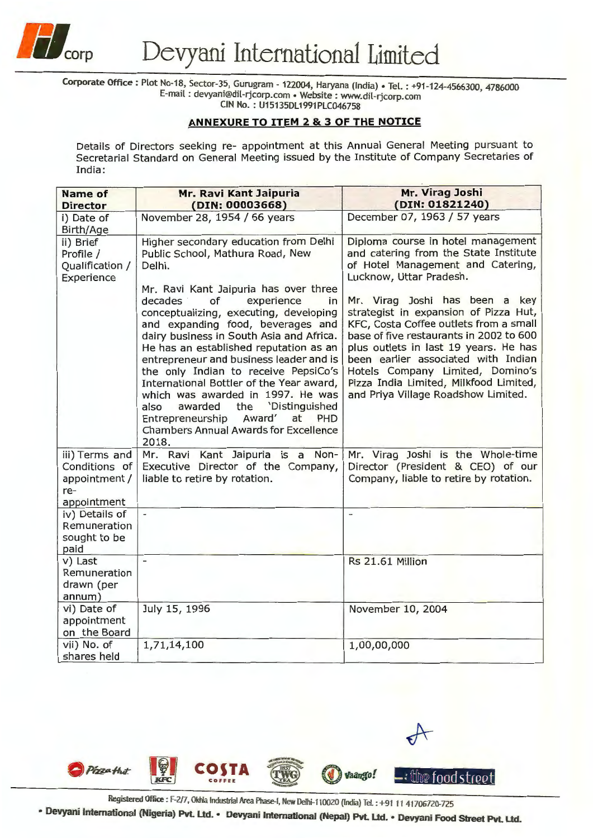

Corporate Office: Plot No-18, Sector-35, Gurugram - 122004, Haryana (India) · Tel. : +91-124-4566300, 4786000 E-mail : devyam@d1l-rJcorp.com • Website : www.dil-rjcorp.com

CIN No. : U15135DL1991PLC046758

# **ANNEXURE TO ITEM 2** & **3 OF THE NOTICE**

Details of Directors seeking re- appointment at this Annual General Meeting pursuant to Secretarial Standard on General Meeting issued by the Institute of Company Secretaries of India:

| <b>Name of</b><br><b>Director</b>                                      | Mr. Ravi Kant Jaipuria<br>(DIN: 00003668)                                                                                                                                                                                                                                                                                                                                                                                                                                                                                                                                                                                                                  | Mr. Virag Joshi<br>(DIN: 01821240)                                                                                                                                                                                                                                                                                                                                                                                                                                                                               |
|------------------------------------------------------------------------|------------------------------------------------------------------------------------------------------------------------------------------------------------------------------------------------------------------------------------------------------------------------------------------------------------------------------------------------------------------------------------------------------------------------------------------------------------------------------------------------------------------------------------------------------------------------------------------------------------------------------------------------------------|------------------------------------------------------------------------------------------------------------------------------------------------------------------------------------------------------------------------------------------------------------------------------------------------------------------------------------------------------------------------------------------------------------------------------------------------------------------------------------------------------------------|
| i) Date of<br>Birth/Age                                                | November 28, 1954 / 66 years                                                                                                                                                                                                                                                                                                                                                                                                                                                                                                                                                                                                                               | December 07, 1963 / 57 years                                                                                                                                                                                                                                                                                                                                                                                                                                                                                     |
| ii) Brief<br>Profile /<br>Qualification /<br>Experience                | Higher secondary education from Delhi<br>Public School, Mathura Road, New<br>Delhi.<br>Mr. Ravi Kant Jaipuria has over three<br>of<br>decades<br>experience<br>in<br>conceptualizing, executing, developing<br>and expanding food, beverages and<br>dairy business in South Asia and Africa.<br>He has an established reputation as an<br>entrepreneur and business leader and is<br>the only Indian to receive PepsiCo's<br>International Bottler of the Year award,<br>which was awarded in 1997. He was<br>also<br>awarded<br>'Distinguished<br>the<br>Entrepreneurship<br>Award'<br>at<br>PHD<br><b>Chambers Annual Awards for Excellence</b><br>2018. | Diploma course in hotel management<br>and catering from the State Institute<br>of Hotel Management and Catering,<br>Lucknow, Uttar Pradesh.<br>Mr. Virag Joshi has been a key<br>strategist in expansion of Pizza Hut,<br>KFC, Costa Coffee outlets from a small<br>base of five restaurants in 2002 to 600<br>plus outlets in last 19 years. He has<br>been earlier associated with Indian<br>Hotels Company Limited, Domino's<br>Pizza India Limited, Milkfood Limited,<br>and Priya Village Roadshow Limited. |
| iii) Terms and<br>Conditions of<br>appointment /<br>re-<br>appointment | Mr. Ravi Kant Jaipuria is a Non-<br>Executive Director of the Company,<br>liable to retire by rotation.                                                                                                                                                                                                                                                                                                                                                                                                                                                                                                                                                    | Mr. Virag Joshi is the Whole-time<br>Director (President & CEO) of our<br>Company, liable to retire by rotation.                                                                                                                                                                                                                                                                                                                                                                                                 |
| iv) Details of<br>Remuneration<br>sought to be<br>paid                 | $\overline{\phantom{a}}$                                                                                                                                                                                                                                                                                                                                                                                                                                                                                                                                                                                                                                   | $\overline{\phantom{0}}$                                                                                                                                                                                                                                                                                                                                                                                                                                                                                         |
| v) Last<br>Remuneration<br>drawn (per<br>annum)                        |                                                                                                                                                                                                                                                                                                                                                                                                                                                                                                                                                                                                                                                            | Rs 21.61 Million                                                                                                                                                                                                                                                                                                                                                                                                                                                                                                 |
| vi) Date of<br>appointment<br>on the Board                             | July 15, 1996                                                                                                                                                                                                                                                                                                                                                                                                                                                                                                                                                                                                                                              | November 10, 2004                                                                                                                                                                                                                                                                                                                                                                                                                                                                                                |
| vii) No. of<br>shares held                                             | 1,71,14,100                                                                                                                                                                                                                                                                                                                                                                                                                                                                                                                                                                                                                                                | 1,00,00,000                                                                                                                                                                                                                                                                                                                                                                                                                                                                                                      |



Registered Office : F-2/7, Okhla Industrial Area Phase-I, New Delhi-110020 (India) Tel. : +91 11 41706720-725